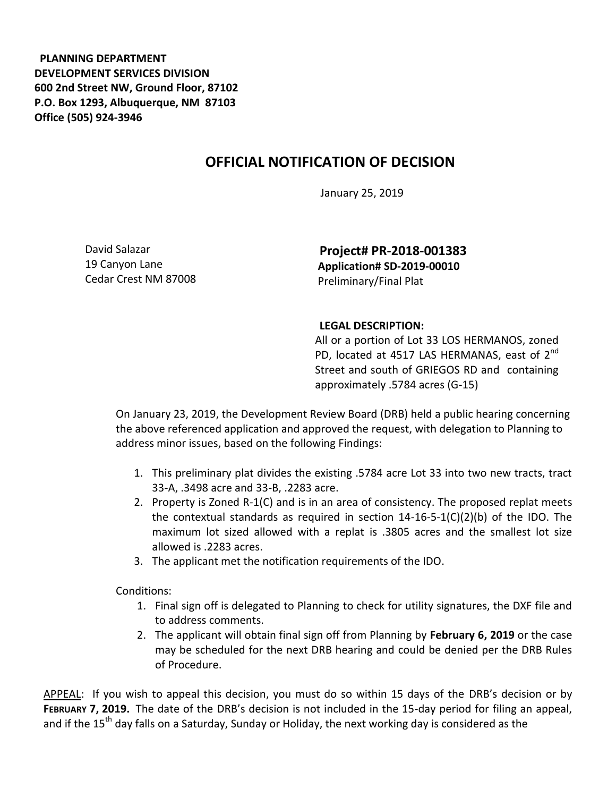**PLANNING DEPARTMENT DEVELOPMENT SERVICES DIVISION 600 2nd Street NW, Ground Floor, 87102 P.O. Box 1293, Albuquerque, NM 87103 Office (505) 924-3946** 

## **OFFICIAL NOTIFICATION OF DECISION**

January 25, 2019

David Salazar 19 Canyon Lane Cedar Crest NM 87008

**Project# PR-2018-001383 Application# SD-2019-00010**  Preliminary/Final Plat

## **LEGAL DESCRIPTION:**

All or a portion of Lot 33 LOS HERMANOS, zoned PD, located at 4517 LAS HERMANAS, east of  $2^{nd}$ Street and south of GRIEGOS RD and containing approximately .5784 acres (G-15)

On January 23, 2019, the Development Review Board (DRB) held a public hearing concerning the above referenced application and approved the request, with delegation to Planning to address minor issues, based on the following Findings:

- 1. This preliminary plat divides the existing .5784 acre Lot 33 into two new tracts, tract 33-A, .3498 acre and 33-B, .2283 acre.
- 2. Property is Zoned R-1(C) and is in an area of consistency. The proposed replat meets the contextual standards as required in section 14-16-5-1(C)(2)(b) of the IDO. The maximum lot sized allowed with a replat is .3805 acres and the smallest lot size allowed is .2283 acres.
- 3. The applicant met the notification requirements of the IDO.

Conditions:

- 1. Final sign off is delegated to Planning to check for utility signatures, the DXF file and to address comments.
- 2. The applicant will obtain final sign off from Planning by **February 6, 2019** or the case may be scheduled for the next DRB hearing and could be denied per the DRB Rules of Procedure.

APPEAL: If you wish to appeal this decision, you must do so within 15 days of the DRB's decision or by **FEBRUARY 7, 2019.** The date of the DRB's decision is not included in the 15-day period for filing an appeal, and if the 15<sup>th</sup> day falls on a Saturday, Sunday or Holiday, the next working day is considered as the